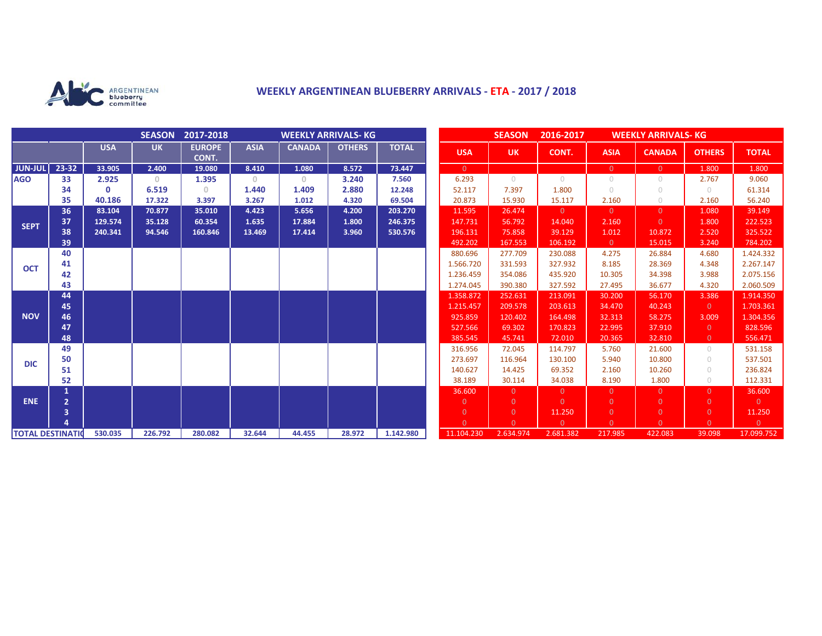

## **WEEKLY ARGENTINEAN BLUEBERRY ARRIVALS - ETA - 2017 / 2018**

|                          |                |              | <b>SEASON</b> | 2017-2018<br><b>WEEKLY ARRIVALS- KG</b> |             |               |               |              | <b>SEASON</b><br>2016-2017<br><b>WEEKLY ARRIVALS-KG</b> |                |                |                |                |                |                |
|--------------------------|----------------|--------------|---------------|-----------------------------------------|-------------|---------------|---------------|--------------|---------------------------------------------------------|----------------|----------------|----------------|----------------|----------------|----------------|
|                          |                | <b>USA</b>   | <b>UK</b>     | <b>EUROPE</b><br>CONT.                  | <b>ASIA</b> | <b>CANADA</b> | <b>OTHERS</b> | <b>TOTAL</b> | <b>USA</b>                                              | <b>UK</b>      | CONT.          | <b>ASIA</b>    | <b>CANADA</b>  | <b>OTHERS</b>  | <b>TOTAL</b>   |
| <b>JUN-JUL</b>           | 23-32          | 33.905       | 2.400         | 19.080                                  | 8.410       | 1.080         | 8.572         | 73.447       | $\overline{0}$                                          |                |                | $\overline{0}$ | $\overline{0}$ | 1.800          | 1.800          |
| <b>AGO</b>               | 33             | 2.925        | $\Omega$      | 1.395                                   | $\Omega$    | $\Omega$      | 3.240         | 7.560        | 6.293                                                   | $\bigcirc$     | $\bigcirc$     | $\bigcirc$     | $\cup$         | 2.767          | 9.060          |
|                          | 34             | $\mathbf{0}$ | 6.519         | $\Omega$                                | 1.440       | 1.409         | 2.880         | 12.248       | 52.117                                                  | 7.397          | 1.800          | $\bigcirc$     | $\cup$         | $\circ$        | 61.314         |
|                          | 35             | 40.186       | 17.322        | 3.397                                   | 3.267       | 1.012         | 4.320         | 69.504       | 20.873                                                  | 15.930         | 15.117         | 2.160          | $\circ$        | 2.160          | 56.240         |
| <b>SEPT</b>              | 36             | 83.104       | 70.877        | 35.010                                  | 4.423       | 5.656         | 4.200         | 203.270      | 11.595                                                  | 26.474         | $\overline{0}$ | $\overline{0}$ | $\Omega$       | 1.080          | 39.149         |
|                          | 37             | 129.574      | 35.128        | 60.354                                  | 1.635       | 17.884        | 1.800         | 246.375      | 147.731                                                 | 56.792         | 14.040         | 2.160          | $\Omega$       | 1.800          | 222.523        |
|                          | 38             | 240.341      | 94.546        | 160.846                                 | 13.469      | 17.414        | 3.960         | 530.576      | 196.131                                                 | 75.858         | 39.129         | 1.012          | 10.872         | 2.520          | 325.522        |
|                          | 39             |              |               |                                         |             |               |               |              | 492.202                                                 | 167.553        | 106.192        | $\overline{0}$ | 15.015         | 3.240          | 784.202        |
| <b>OCT</b>               | 40             |              |               |                                         |             |               |               |              | 880.696                                                 | 277.709        | 230.088        | 4.275          | 26.884         | 4.680          | 1.424.332      |
|                          | 41             |              |               |                                         |             |               |               |              | 1.566.720                                               | 331.593        | 327.932        | 8.185          | 28.369         | 4.348          | 2.267.147      |
|                          | 42             |              |               |                                         |             |               |               |              | 1.236.459                                               | 354.086        | 435.920        | 10.305         | 34.398         | 3.988          | 2.075.156      |
|                          | 43             |              |               |                                         |             |               |               |              | 1.274.045                                               | 390.380        | 327.592        | 27.495         | 36.677         | 4.320          | 2.060.509      |
| <b>NOV</b>               | 44             |              |               |                                         |             |               |               |              | 1.358.872                                               | 252.631        | 213.091        | 30.200         | 56.170         | 3.386          | 1.914.350      |
|                          | 45             |              |               |                                         |             |               |               |              | 1.215.457                                               | 209.578        | 203.613        | 34.470         | 40.243         | $\overline{0}$ | 1.703.361      |
|                          | 46             |              |               |                                         |             |               |               |              | 925.859                                                 | 120.402        | 164.498        | 32.313         | 58.275         | 3.009          | 1.304.356      |
|                          | 47             |              |               |                                         |             |               |               |              | 527.566                                                 | 69.302         | 170.823        | 22.995         | 37.910         | $\overline{0}$ | 828.596        |
|                          | 48             |              |               |                                         |             |               |               |              | 385.545                                                 | 45.741         | 72.010         | 20.365         | 32.810         | $\overline{0}$ | 556.471        |
| <b>DIC</b>               | 49             |              |               |                                         |             |               |               |              | 316.956                                                 | 72.045         | 114.797        | 5.760          | 21.600         | $\circ$        | 531.158        |
|                          | 50             |              |               |                                         |             |               |               |              | 273.697                                                 | 116.964        | 130.100        | 5.940          | 10.800         | $\circ$        | 537.501        |
|                          | 51             |              |               |                                         |             |               |               |              | 140.627                                                 | 14.425         | 69.352         | 2.160          | 10.260         | $\circ$        | 236.824        |
|                          | 52             |              |               |                                         |             |               |               |              | 38.189                                                  | 30.114         | 34.038         | 8.190          | 1.800          | $\circ$        | 112.331        |
| <b>ENE</b>               |                |              |               |                                         |             |               |               |              | 36.600                                                  | $\Omega$       | $\overline{0}$ | $\overline{0}$ | $\Omega$       | $\Omega$       | 36.600         |
|                          | $\overline{2}$ |              |               |                                         |             |               |               |              | $\overline{0}$                                          | $\overline{0}$ | $\Omega$       | $\overline{0}$ | $\Omega$       | $\overline{0}$ | $\overline{0}$ |
|                          | 3              |              |               |                                         |             |               |               |              | $\overline{0}$                                          | $\overline{0}$ | 11.250         | $\overline{0}$ | $\overline{0}$ | $\overline{0}$ | 11.250         |
|                          |                |              |               |                                         |             |               |               |              | $\Omega$                                                | $\Omega$       | $\overline{0}$ | $\overline{0}$ | $\Omega$       | $\overline{0}$ | $\overline{0}$ |
| <b>TOTAL DESTINATION</b> |                | 530.035      | 226.792       | 280.082                                 | 32.644      | 44.455        | 28.972        | 1.142.980    | 11.104.230                                              | 2.634.974      | 2.681.382      | 217.985        | 422.083        | 39.098         | 17.099.752     |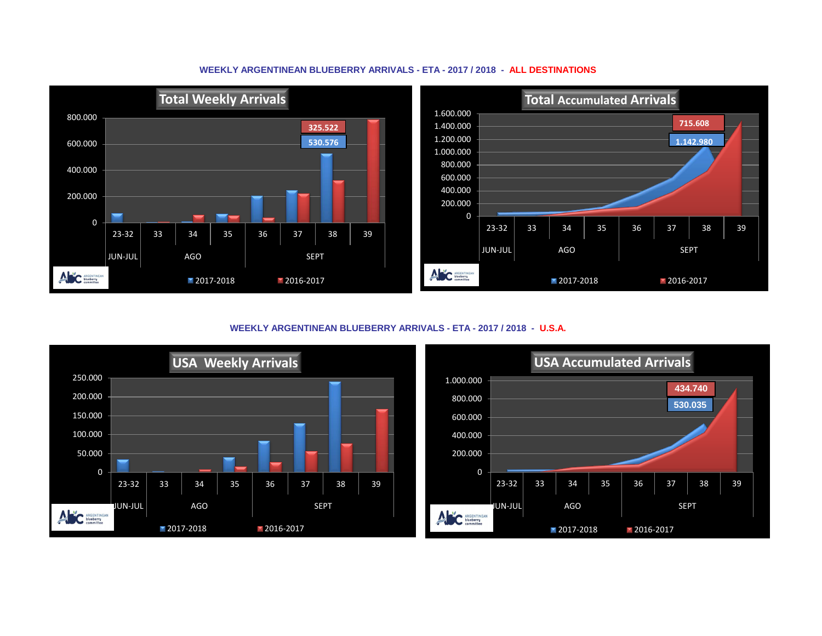

**WEEKLY ARGENTINEAN BLUEBERRY ARRIVALS - ETA - 2017 / 2018 - ALL DESTINATIONS**

**WEEKLY ARGENTINEAN BLUEBERRY ARRIVALS - ETA - 2017 / 2018 - U.S.A.**



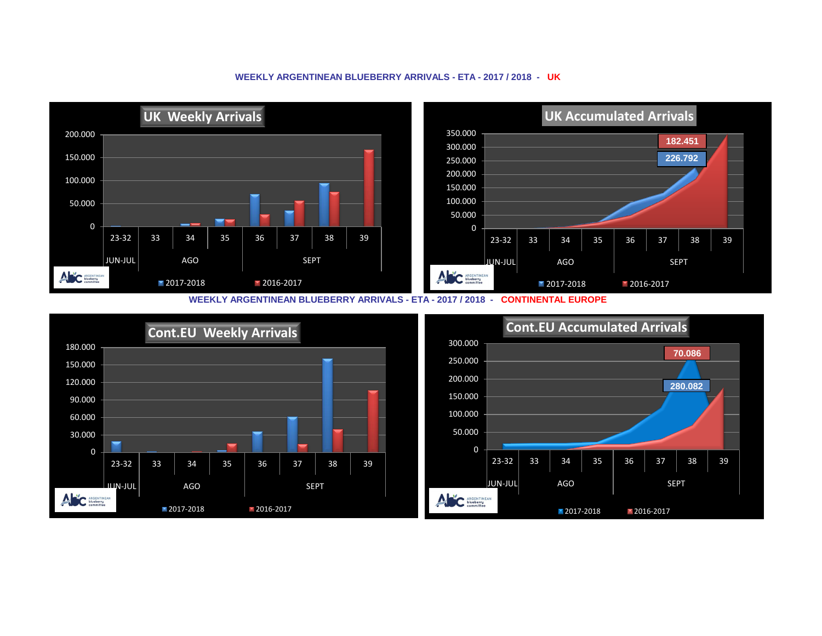## **WEEKLY ARGENTINEAN BLUEBERRY ARRIVALS - ETA - 2017 / 2018 - UK**



**WEEKLY ARGENTINEAN BLUEBERRY ARRIVALS - ETA - 2017 / 2018 - CONTINENTAL EUROPE**